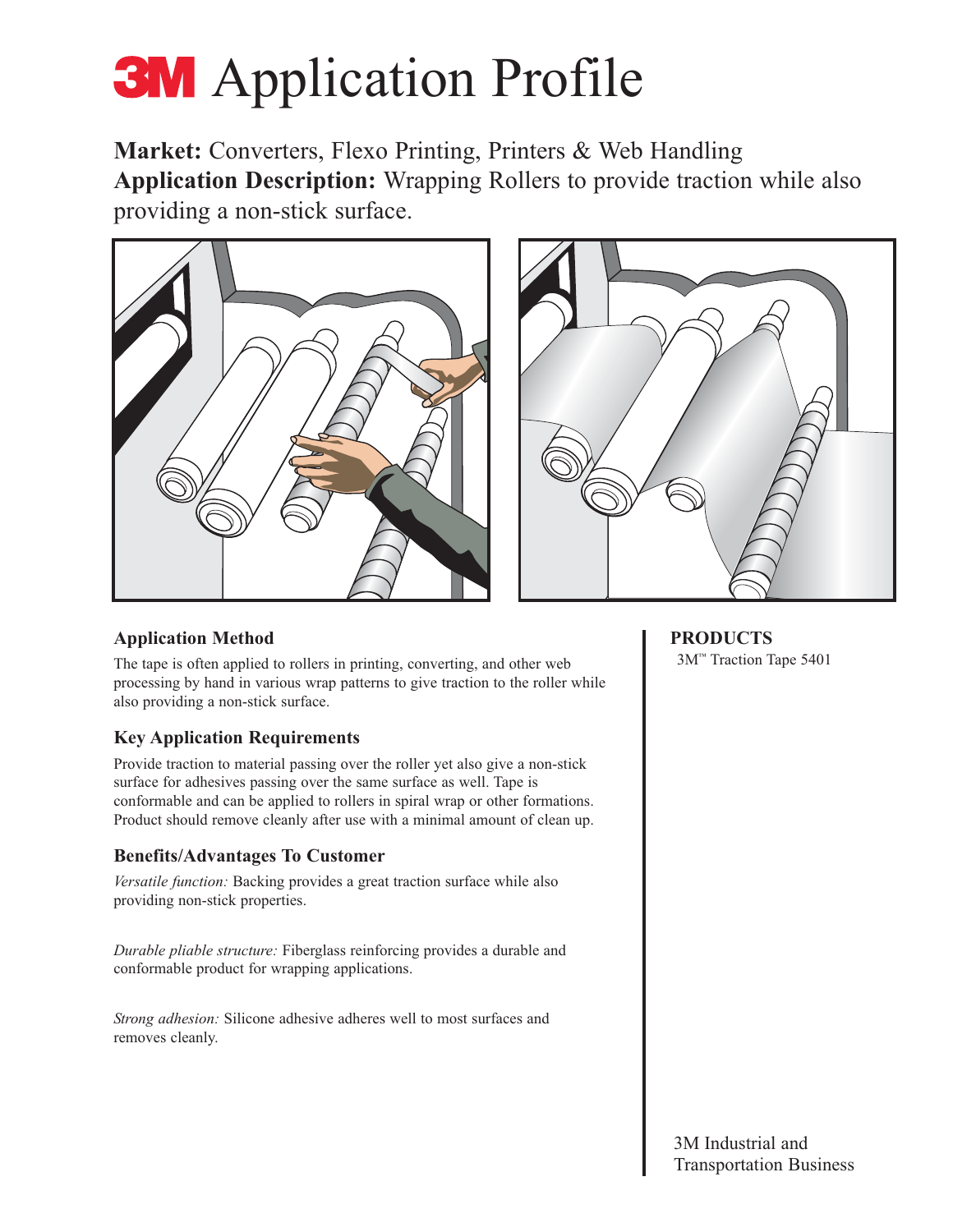# **3M** Application Profile

**Market:** Converters, Flexo Printing, Printers & Web Handling **Application Description:** Wrapping Rollers to provide traction while also providing a non-stick surface.





## **Application Method**

The tape is often applied to rollers in printing, converting, and other web processing by hand in various wrap patterns to give traction to the roller while also providing a non-stick surface.

## **Key Application Requirements**

Provide traction to material passing over the roller yet also give a non-stick surface for adhesives passing over the same surface as well. Tape is conformable and can be applied to rollers in spiral wrap or other formations. Product should remove cleanly after use with a minimal amount of clean up.

## **Benefits/Advantages To Customer**

*Versatile function:* Backing provides a great traction surface while also providing non-stick properties.

*Durable pliable structure:* Fiberglass reinforcing provides a durable and conformable product for wrapping applications.

*Strong adhesion:* Silicone adhesive adheres well to most surfaces and removes cleanly.

**PRODUCTS** 3M™ Traction Tape 5401